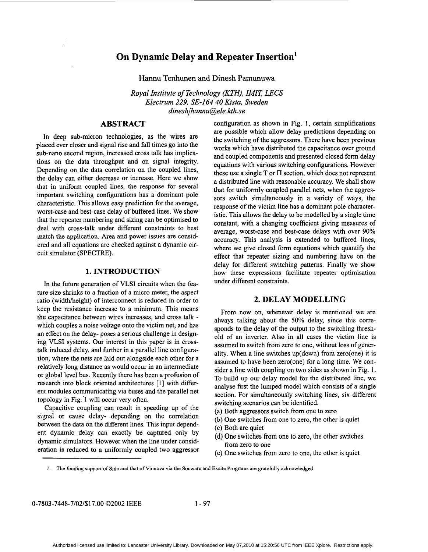# **On Dynamic Delay and Repeater Insertion'**

**Hannu Tenhunen and Dinesh Pamunuwa** 

*Royal Institute of Technology (KTH), IMIT, LECS Electrum 229, SE-I64 40 Kista, Sweden dinesh/hannu@ele. kth.se* 

## **ABSTRACT**

In deep sub-micron technologies, as the wires are placed ever closer and signal rise and fall times go into the sub-nano second region, increased cross talk has implications on the data throughput and on signal integrity. Depending on the data correlation on the coupled lines, the delay can either decrease or increase. Here we show that in uniform coupled lines, the response for several important switching configurations has a dominant pole characteristic. This allows easy prediction for the average, worst-case and best-case delay of buffered lines. We show that the repeater numbering and sizing can be optimised to deal with cross-talk under different constraints to best match the application. Area and power issues are considered and all equations are checked against a dynamic circuit simulator (SPECTRE).

#### **1. INTRODUCTION**

In the future generation **of** VLSI circuits when the feature size shrinks to a fraction of a micro meter, the aspect ratio (width/height) of interconnect is reduced in order to keep the resistance increase to a minimum. This means the capacitance between wires increases, and cross talk which couples a noise voltage onto the victim net, and has an effect on the delay- poses a serious challenge in designing VLSI systems. Our interest in this paper is in crosstalk induced delay, and further in a parallel line configuration, where the nets are laid out alongside each other for a relatively long distance as would occur in an intermediate or global level bus. Recently there has been a profusion of research into block oriented architectures [1] with different modules communicating via buses and the parallel net topology in Fig.'l will occur very often.

Capacitive coupling can result in speeding up of the signal or cause delay- depending on the correlation between the data on the different lines. This input dependent dynamic delay can exactly be captured only by dynamic simulators. However when the line under consideration is reduced to a uniformly coupled two aggressor configuration as shown in Fig. 1, certain simplifications are possible which allow delay predictions depending on the switching of the aggressors. There have been previous works which have distributed the capacitance over ground and coupled components and presented closed form delay equations with various switching configurations. However these use a single  $T$  or  $\Pi$  section, which does not represent a distributed line with reasonable accuracy. We shall show that for uniformly coupled parallel nets, when the aggressors switch simultaneously in a variety **of** ways, the response of the victim line has a dominant pole characteristic. This allows the delay to be modelled by a single time constant, with a changing coefficient giving measures of average, worst-case and best-case delays with over **90%**  accuracy. This analysis is extended to buffered lines, where we give closed form equations which quantify the effect that repeater sizing and numbering have on the delay for different switching patterns. Finally we show how these expressions facilitate repeater optimisation under different constraints.

### **2. DELAY MODELLING**

From now on, whenever delay is mentioned we are always talking about the 50% delay, since this corresponds to the delay of the output to the switching threshold of an inverter. Also in all cases the victim line is assumed to switch from zero to one, without loss of generality. When a line switches up(down) from zero(one) it is assumed to have been zero(one) for a long time. We consider a line with coupling on two sides as shown in Fig. 1. To build up our delay model for the distributed line, we analyse first the lumped model which consists of a single section. For simultaneously switching lines, six different switching scenarios can be identified.

- (a) Both aggressors switch from one to zero
- (b) One switches from one to zero, the other is quiet
- (c) Both are quiet
- (d) One switches from one to zero, the other switches from zero to one
- (e) One switches from zero to one, the other is quiet

**I. The funding support** *of* **Sida and that** *of* **Vinnova via the Socware and Exsite Programs are gratefully acknowledged**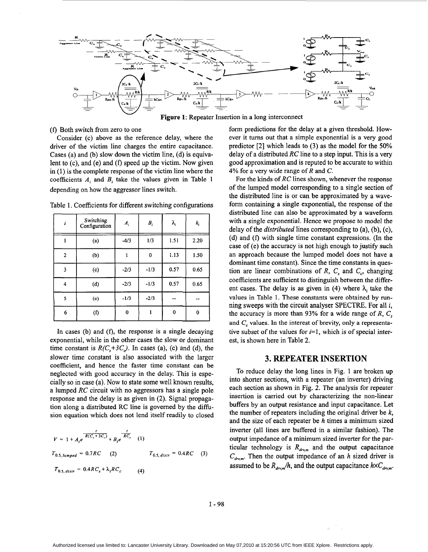

Figure 1: Repeater Insertion in a long interconnect

#### *(f)* Both switch from zero to one

Consider (c) above as the reference delay, where the driver of the victim line charges the entire capacitance. Cases (a) and (b) slow down the victim line, (d) is equivalent to (c), and (e) and *(f)* speed up the victim. Now given in (1) is the complete response of the victim line where the coefficients  $A_i$  and  $B_i$  take the values given in Table 1 depending on how the aggressor lines switch.

| i                       | Switching<br>Configuration | $A_i$  | $B_i$    | λ,   | k,   |
|-------------------------|----------------------------|--------|----------|------|------|
| L                       | (a)                        | $-4/3$ | 1/3      | 1.51 | 2.20 |
| $\overline{2}$          | (b)                        |        | $\bf{0}$ | 1.13 | 1.50 |
| 3                       | (c)                        | $-2/3$ | $-1/3$   | 0.57 | 0.65 |
| 4                       | (d)                        | $-2/3$ | $-1/3$   | 0.57 | 0.65 |
| $\overline{\mathbf{5}}$ | (e)                        | $-1/3$ | $-2/3$   |      |      |
| 6                       | (f)                        | 0      |          | 0    | ŋ    |

Table 1. Coefficients for different switching configurations

In cases **(b)** and *(f),* the response is a single decaying exponential, while in the other cases the slow or dominant time constant is  $R(C<sub>s</sub>+3C<sub>s</sub>)$ . In cases (a), (c) and (d), the slower time constant is also associated with the larger coefficient, and hence the faster time constant can be neglected with good accuracy in the delay. This is especially so in case (a). Now to state some well known results, a lumped *RC* circuit with no aggressors has a single pole response and the delay is as given in **(2).** Signal propagation along a distributed RC line is governed by the difision equation which does not lend itself readily to closed

$$
V = 1 + A_t e^{-\frac{t}{R(C_s + 3C_c)}} + B_t e^{-\frac{t}{RC_s}}
$$
 (1)  
\n
$$
T_{0.5, lumped} = 0.7RC
$$
 (2) 
$$
T_{0.5, disr} = 0.4RC
$$
 (3)  
\n
$$
T_{0.5, disr} = 0.4RC_s + \lambda_i RC_c
$$
 (4)

form predictions for the delay at a given threshold. However it turns out that a simple exponential is a very good predictor [2] which leads to **(3)** as the model for the **50%**  delay of a distributed *RC* line to a step input. This is a very good approximation and is reputed to be accurate to within **4%** for a very wide range of *R* and *C.* 

For the kinds of *RC* lines shown, whenever the response of the lumped model corresponding to a single section of the distributed line is or can be approximated by a waveform containing a single exponential, the response **of** the distributed line can also be approximated by a waveform with a single exponential. Hence we propose to model the delay of the *distributed* lines corresponding to (a), (b), (c),  $(d)$  and  $(f)$  with single time constant expressions. (In the case of (e) the accuracy is not high enough to justify such an approach because the lumped model does not have a dominant time constant). Since the time constants in question are linear combinations of  $R$ ,  $C<sub>s</sub>$  and  $C<sub>c</sub>$ , changing coefficients are sufficient to distinguish between the different cases. The delay is as given in (4) where  $\lambda_i$  take the values in Table 1. These constants were obtained by running sweeps with the circuit analyser SPECTRE. For all **i,**  the accuracy is more than **93%** for a wide range of *R, C,*  and *C,* values. In the interest of brevity, only a representative subset of the values for  $i=1$ , which is of special interest, is shown here in [Table 2.](#page-2-0)

### **3. REPEATER INSERTION**

To reduce delay the long lines in Fig. 1 are broken up into shorter sections, with a repeater (an inverter) driving each section as shown in Fig. **2.** The analysis for repeater insertion is carried out by characterizing the non-linear buffers by an output resistance and input capacitance. Let the number of repeaters including the original driver be *k,*  and the size of each repeater be *h* times a minimum sized inverter (all lines are buffered in a similar fashion). The output impedance of a minimum sized inverter for the particular technology is  $R_{\mu_{r,m}}$  and the output capacitance  $C_{\text{drv,m}}$ . Then the output impedance of an *h* sized driver is assumed to be  $R_{drum}/h$ , and the output capacitance  $h \times C_{drum}$ .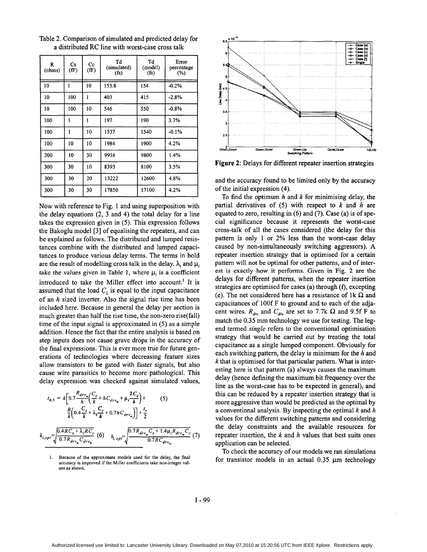| R<br>(ohms) | Cs<br>(fF) | $_{\rm Cc}$<br>(fF) | Td<br>(simulated)<br>$(f_s)$ | Td<br>(model)<br>$(f_s)$ | Error<br>percentage<br>$(\%)$ |
|-------------|------------|---------------------|------------------------------|--------------------------|-------------------------------|
| 10          | 1          | 10                  | 153.8                        | 154                      | $-0.2%$                       |
| 10          | 100        | 1                   | 403                          | 415                      | $-2.8%$                       |
| 10          | 100        | 10                  | 546                          | 550                      | $-0.8%$                       |
| 100         | 1          | $\mathbf{1}$        | 197                          | 190                      | 3.7%                          |
| 100         | 1          | 10                  | 1537                         | 1540                     | $-0.1%$                       |
| 100         | 10         | 10                  | 1984                         | 1900                     | 4.2%                          |
| 200         | 10         | 30                  | 9938                         | 9800                     | 1.4%                          |
| 300         | 30         | 10                  | 8393                         | 8100                     | 3.5%                          |
| 300         | 30         | 20                  | 13222                        | 12600                    | 4.8%                          |
| 300         | 30         | 30                  | 17850                        | 17100                    | 4.2%                          |

<span id="page-2-0"></span>Table 2. Comparison of simulated and predicted delay for a distributed RC line with worst-case cross talk

Now with reference to Fig. 1 and using superposition with the delay equations (2, 3 and **4)** the total delay for a line takes the expression given in (5). This expression follows the Bakoglu model [3] of equalising the repeaters, and can be explained as follows. The distributed and lumped resistances combine with the distributed and lumped capacitances to produce various delay terms. The terms in bold are the result of modelling cross talk in the delay.  $\lambda_i$  and  $\mu_i$ take the values given in Table 1, where  $\mu_i$  is a coefficient introduced to take the Miller effect into account.<sup>1</sup> It is assumed that the load  $C<sub>L</sub>$  is equal to the input capacitance of an *h* sized inverter. **Also** the signal rise time has been included here. Because in general the delay per section is much greater than half the rise time, the non-zero rise(fall) time of the input signal is approximated in (5) as a simple addition. Hence the fact that the entire analysis is based on step inputs does not cause grave drops in the accuracy of the final expressions. This is ever more true for future generations of technologies where decreasing feature sizes allow transistors to be gated with faster signals, but also cause wire parasitics to become more pathological. This delay expression was checked against simulated values,

$$
t_{0.5} = k \bigg[ 0.7 \frac{R_{drv_m}}{h} \bigg( \frac{C_s}{k} + h C_{drv_m} + \mu_i \frac{2C_c}{k} \bigg) + \bigg( 5 \bigg)
$$
  

$$
\frac{R}{k} \bigg( 0.4 \frac{C_s}{k} + \lambda_i \frac{C_c}{k} + 0.7 h C_{drv_m} \bigg) \bigg] + \frac{t_r}{2}
$$
  

$$
k_{i, opt} = \sqrt{\frac{0.4 R C_s + \lambda_i R C_c}{0.7 R_{drv_m} C_{drv_m}}} \bigg( 6 \bigg) \quad h_{i, opt} = \sqrt{\frac{0.7 R_{drv_m} C_s + 1.4 \mu_i R_{drv_m} C_c}{0.7 R C_{drv_m}}} \bigg( 7 \bigg)
$$



**Figure 2:** Delays for different repeater insertion strategies

and the accuracy found to be limited only by the accuracy of the initial expression **(4).** 

To find the optimum *h* and *k* for minimising delay, the partial derivatives of (5) with respect to *k* and *h* are equated to zero, resulting in *(6)* and (7). Case (a) is of special significance because it represents the worst-case cross-talk of all the cases considered (the delay for this pattern is only 1 or 2% less than the worst-case delay caused by non-simultaneously switching aggressors). **A**  repeater insertion strategy that is optimised for a certain pattern will not be optimal for other patterns, and of interest **is** exactly how **it** performs. Given in Fig. 2 are the delays for different patterns, when the repeater insertion strategies are optimised for cases (a) through (f), excepting (e). The net considered here has a resistance of  $1k \Omega$  and capacitances of lOOf F to ground and to each of the adjacent wires.  $R_{\text{dw}}$  and  $C_{\text{dw}}$  are set to 7.7k  $\Omega$  and 9.5f F to match the 0.35 mm technology we use for testing. The legend termed *single* refers to the conventional optimisation strategy that would be carried out by treating the total capacitance as a single lumped component. Obviously for each switching pattern, the delay is minimum for the *h* and *k* that is optimised for that particular pattern. What is interesting here is that pattern (a) always causes the maximum delay (hence defining the maximum bit frequency over the line as the worst-case has to be expected in general), and this can be reduced by a repeater insertion strategy that is more aggressive than would be predicted as the optimal by a conventional analysis. By inspecting the optimal *k* and *h*  values for the different switching patterns and considering the delay constraints and the available resources for repeater insertion, the *k* and *h* values that best suits ones application can be selected.

To check the accuracy of our models we ran simulations for transistor models in an actual  $0.35 \mu m$  technology

**<sup>1.</sup> Because** of **the approximate models used** for **the delay, the final accuracy is improved if the Miller coefficients take non-integer values as shown.**